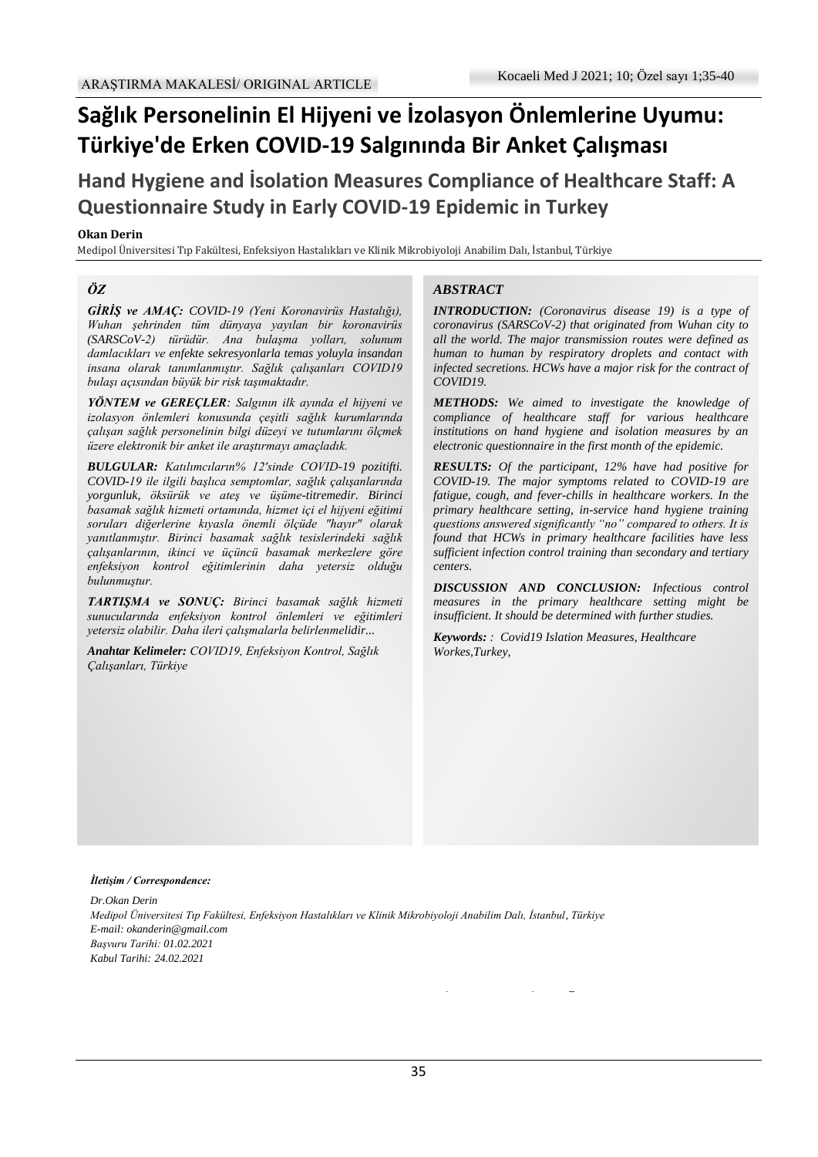# **Sağlık Personelinin El Hijyeni ve İzolasyon Önlemlerine Uyumu: Türkiye'de Erken COVID-19 Salgınında Bir Anket Çalışması**

**Hand Hygiene and İsolation Measures Compliance of Healthcare Staff: A Questionnaire Study in Early COVID-19 Epidemic in Turkey**

#### **Okan Derin**

Medipol Üniversitesi Tıp Fakültesi, Enfeksiyon Hastalıkları ve Klinik Mikrobiyoloji Anabilim Dalı, İstanbul, Türkiye

#### *ÖZ*

*GİRİŞ ve AMAÇ: COVID-19 (Yeni Koronavirüs Hastalığı), Wuhan şehrinden tüm dünyaya yayılan bir koronavirüs (SARSCoV-2) türüdür. Ana bulaşma yolları, solunum damlacıkları ve enfekte sekresyonlarla temas yoluyla insandan insana olarak tanımlanmıştır. Sağlık çalışanları COVID19 bulaşı açısından büyük bir risk taşımaktadır.*

*YÖNTEM ve GEREÇLER: Salgının ilk ayında el hijyeni ve izolasyon önlemleri konusunda çeşitli sağlık kurumlarında çalışan sağlık personelinin bilgi düzeyi ve tutumlarını ölçmek üzere elektronik bir anket ile araştırmayı amaçladık.*

*BULGULAR: Katılımcıların% 12'sinde COVID-19 pozitifti. COVID-19 ile ilgili başlıca semptomlar, sağlık çalışanlarında yorgunluk, öksürük ve ateş ve üşüme-titremedir. Birinci basamak sağlık hizmeti ortamında, hizmet içi el hijyeni eğitimi soruları diğerlerine kıyasla önemli ölçüde "hayır" olarak yanıtlanmıştır. Birinci basamak sağlık tesislerindeki sağlık çalışanlarının, ikinci ve üçüncü basamak merkezlere göre enfeksiyon kontrol eğitimlerinin daha yetersiz olduğu bulunmuştur.*

*TARTIŞMA ve SONUÇ: Birinci basamak sağlık hizmeti sunucularında enfeksiyon kontrol önlemleri ve eğitimleri yetersiz olabilir. Daha ileri çalışmalarla belirlenmelidir...*

*Anahtar Kelimeler: COVID19, Enfeksiyon Kontrol, Sağlık Çalışanları, Türkiye*

#### *ABSTRACT*

*INTRODUCTION: (Coronavirus disease 19) is a type of coronavirus (SARSCoV-2) that originated from Wuhan city to all the world. The major transmission routes were defined as human to human by respiratory droplets and contact with infected secretions. HCWs have a major risk for the contract of COVID19.*

*METHODS: We aimed to investigate the knowledge of compliance of healthcare staff for various healthcare institutions on hand hygiene and isolation measures by an electronic questionnaire in the first month of the epidemic.*

*RESULTS: Of the participant, 12% have had positive for COVID-19. The major symptoms related to COVID-19 are fatigue, cough, and fever-chills in healthcare workers. In the primary healthcare setting, in-service hand hygiene training questions answered significantly "no" compared to others. It is found that HCWs in primary healthcare facilities have less sufficient infection control training than secondary and tertiary centers.*

*DISCUSSION AND CONCLUSION: Infectious control measures in the primary healthcare setting might be insufficient. It should be determined with further studies.*

 $\mathcal{L}_{\mathcal{L}}$  was given the name coronavirus the name coronavirus the name coronavirus  $\mathcal{L}_{\mathcal{L}}$ 

*Keywords: : Covid19 Islation Measures, Healthcare Workes,Turkey,*

#### *İletişim / Correspondence:*

*Dr.Okan Derin Medipol Üniversitesi Tıp Fakültesi, Enfeksiyon Hastalıkları ve Klinik Mikrobiyoloji Anabilim Dalı, İstanbul, Türkiye E-mail: okanderin@gmail.com Başvuru Tarihi: 01.02.2021 Kabul Tarihi: 24.02.2021*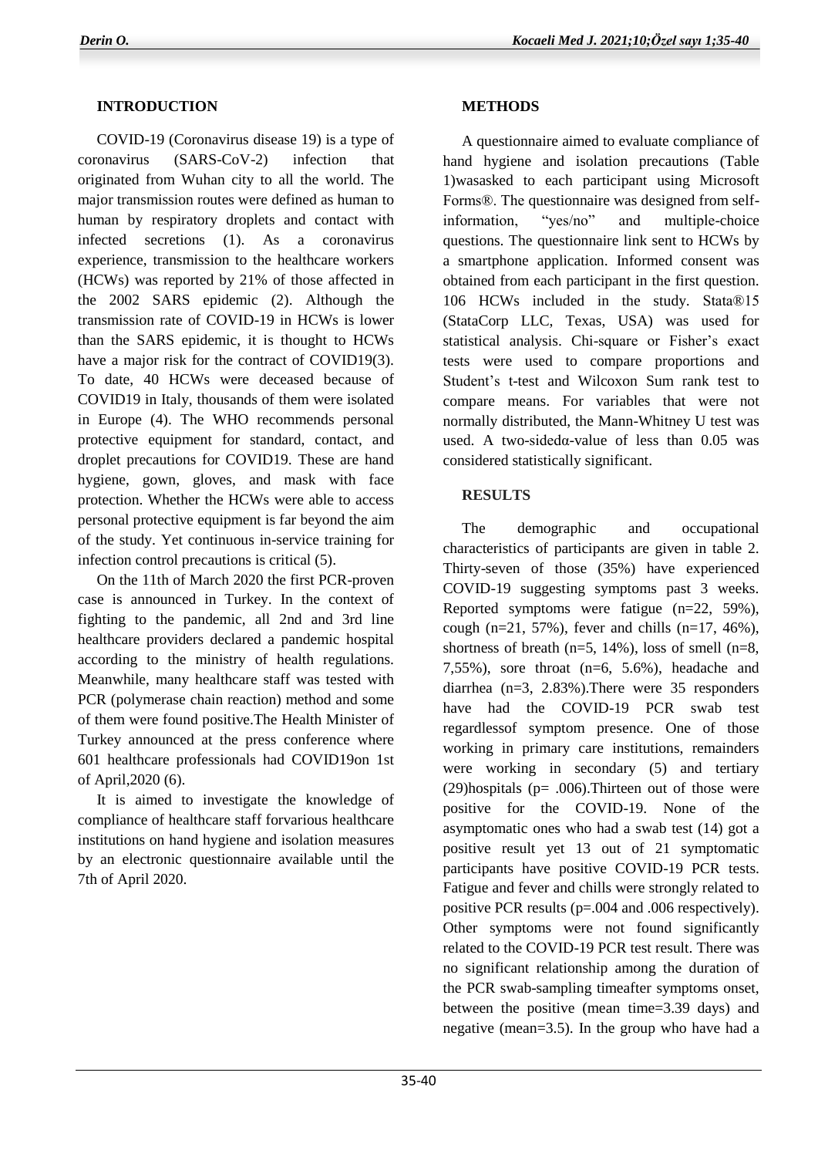## **INTRODUCTION**

 COVID-19 (Coronavirus disease 19) is a type of coronavirus (SARS-CoV-2) infection that originated from Wuhan city to all the world. The major transmission routes were defined as human to human by respiratory droplets and contact with infected secretions (1). As a coronavirus experience, transmission to the healthcare workers (HCWs) was reported by 21% of those affected in the 2002 SARS epidemic (2). Although the transmission rate of COVID-19 in HCWs is lower than the SARS epidemic, it is thought to HCWs have a major risk for the contract of COVID19(3). To date, 40 HCWs were deceased because of COVID19 in Italy, thousands of them were isolated in Europe (4). The WHO recommends personal protective equipment for standard, contact, and droplet precautions for COVID19. These are hand hygiene, gown, gloves, and mask with face protection. Whether the HCWs were able to access personal protective equipment is far beyond the aim of the study. Yet continuous in-service training for infection control precautions is critical (5).

 On the 11th of March 2020 the first PCR-proven case is announced in Turkey. In the context of fighting to the pandemic, all 2nd and 3rd line healthcare providers declared a pandemic hospital according to the ministry of health regulations. Meanwhile, many healthcare staff was tested with PCR (polymerase chain reaction) method and some of them were found positive.The Health Minister of Turkey announced at the press conference where 601 healthcare professionals had COVID19on 1st of April,2020 (6).

 It is aimed to investigate the knowledge of compliance of healthcare staff forvarious healthcare institutions on hand hygiene and isolation measures by an electronic questionnaire available until the 7th of April 2020.

## **METHODS**

 A questionnaire aimed to evaluate compliance of hand hygiene and isolation precautions (Table 1)wasasked to each participant using Microsoft Forms®. The questionnaire was designed from selfinformation, "yes/no" and multiple-choice questions. The questionnaire link sent to HCWs by a smartphone application. Informed consent was obtained from each participant in the first question. 106 HCWs included in the study. Stata®15 (StataCorp LLC, Texas, USA) was used for statistical analysis. Chi-square or Fisher's exact tests were used to compare proportions and Student's t-test and Wilcoxon Sum rank test to compare means. For variables that were not normally distributed, the Mann-Whitney U test was used. A two-sidedα-value of less than 0.05 was considered statistically significant.

### **RESULTS**

 The demographic and occupational characteristics of participants are given in table 2. Thirty-seven of those (35%) have experienced COVID-19 suggesting symptoms past 3 weeks. Reported symptoms were fatigue (n=22, 59%), cough (n=21, 57%), fever and chills (n=17, 46%), shortness of breath ( $n=5$ , 14%), loss of smell ( $n=8$ , 7,55%), sore throat (n=6, 5.6%), headache and diarrhea (n=3, 2.83%).There were 35 responders have had the COVID-19 PCR swab test regardlessof symptom presence. One of those working in primary care institutions, remainders were working in secondary (5) and tertiary (29)hospitals ( $p = .006$ ). Thirteen out of those were positive for the COVID-19. None of the asymptomatic ones who had a swab test (14) got a positive result yet 13 out of 21 symptomatic participants have positive COVID-19 PCR tests. Fatigue and fever and chills were strongly related to positive PCR results (p=.004 and .006 respectively). Other symptoms were not found significantly related to the COVID-19 PCR test result. There was no significant relationship among the duration of the PCR swab-sampling timeafter symptoms onset, between the positive (mean time=3.39 days) and negative (mean=3.5). In the group who have had a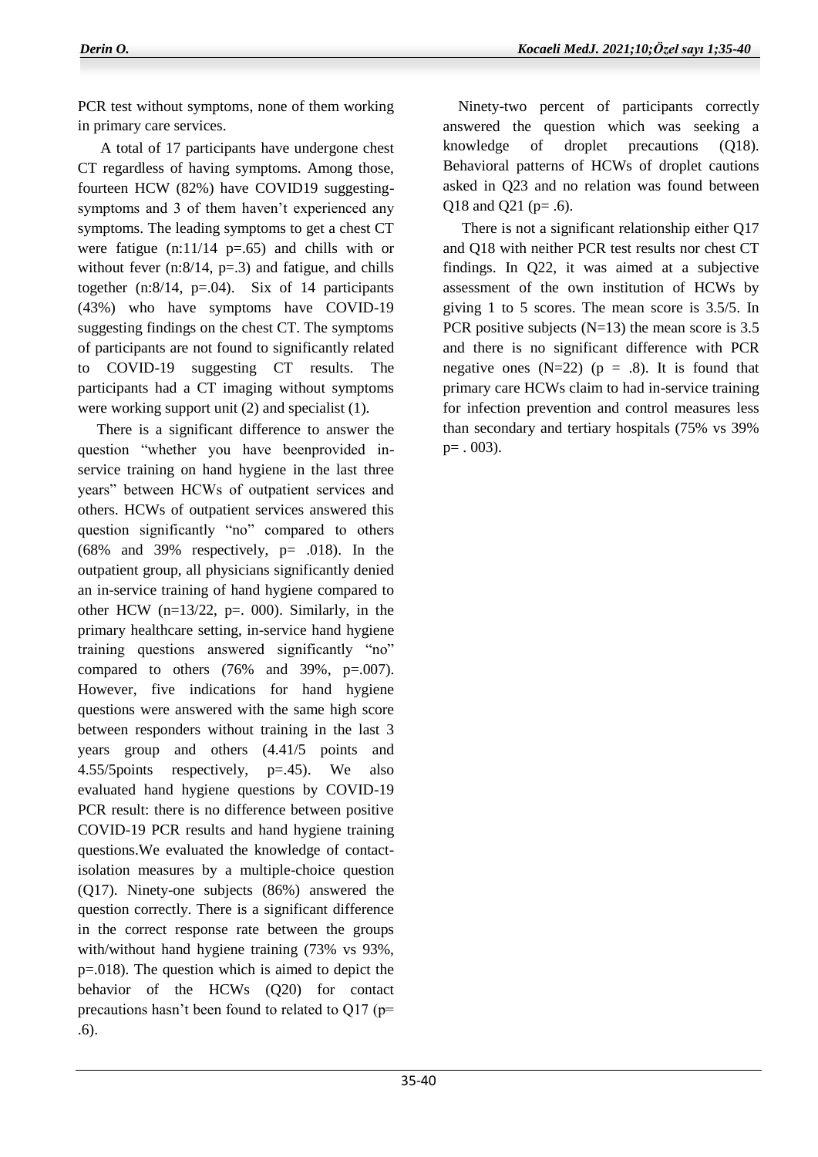PCR test without symptoms, none of them working in primary care services.

 A total of 17 participants have undergone chest CT regardless of having symptoms. Among those, fourteen HCW (82%) have COVID19 suggestingsymptoms and 3 of them haven't experienced any symptoms. The leading symptoms to get a chest CT were fatigue  $(n:11/14 \text{ p} = .65)$  and chills with or without fever  $(n:8/14, p=.3)$  and fatigue, and chills together  $(n:8/14, p=.04)$ . Six of 14 participants (43%) who have symptoms have COVID-19 suggesting findings on the chest CT. The symptoms of participants are not found to significantly related to COVID-19 suggesting CT results. The participants had a CT imaging without symptoms were working support unit (2) and specialist (1).

 There is a significant difference to answer the question "whether you have beenprovided inservice training on hand hygiene in the last three years" between HCWs of outpatient services and others. HCWs of outpatient services answered this question significantly "no" compared to others  $(68\%$  and 39% respectively,  $p= .018$ ). In the outpatient group, all physicians significantly denied an in-service training of hand hygiene compared to other HCW  $(n=13/22, p=.000)$ . Similarly, in the primary healthcare setting, in-service hand hygiene training questions answered significantly "no" compared to others  $(76\%$  and  $39\%$ , p=.007). However, five indications for hand hygiene questions were answered with the same high score between responders without training in the last 3 years group and others (4.41/5 points and 4.55/5points respectively, p=.45). We also evaluated hand hygiene questions by COVID-19 PCR result: there is no difference between positive COVID-19 PCR results and hand hygiene training questions.We evaluated the knowledge of contactisolation measures by a multiple-choice question (Q17). Ninety-one subjects (86%) answered the question correctly. There is a significant difference in the correct response rate between the groups with/without hand hygiene training (73% vs 93%, p=.018). The question which is aimed to depict the behavior of the HCWs (Q20) for contact precautions hasn't been found to related to Q17 (p= .6).

 Ninety-two percent of participants correctly answered the question which was seeking a knowledge of droplet precautions (Q18). Behavioral patterns of HCWs of droplet cautions asked in Q23 and no relation was found between Q18 and Q21 (p= .6).

 There is not a significant relationship either Q17 and Q18 with neither PCR test results nor chest CT findings. In Q22, it was aimed at a subjective assessment of the own institution of HCWs by giving 1 to 5 scores. The mean score is 3.5/5. In PCR positive subjects  $(N=13)$  the mean score is 3.5 and there is no significant difference with PCR negative ones  $(N=22)$  ( $p = .8$ ). It is found that primary care HCWs claim to had in-service training for infection prevention and control measures less than secondary and tertiary hospitals (75% vs 39%  $p=$  . 003).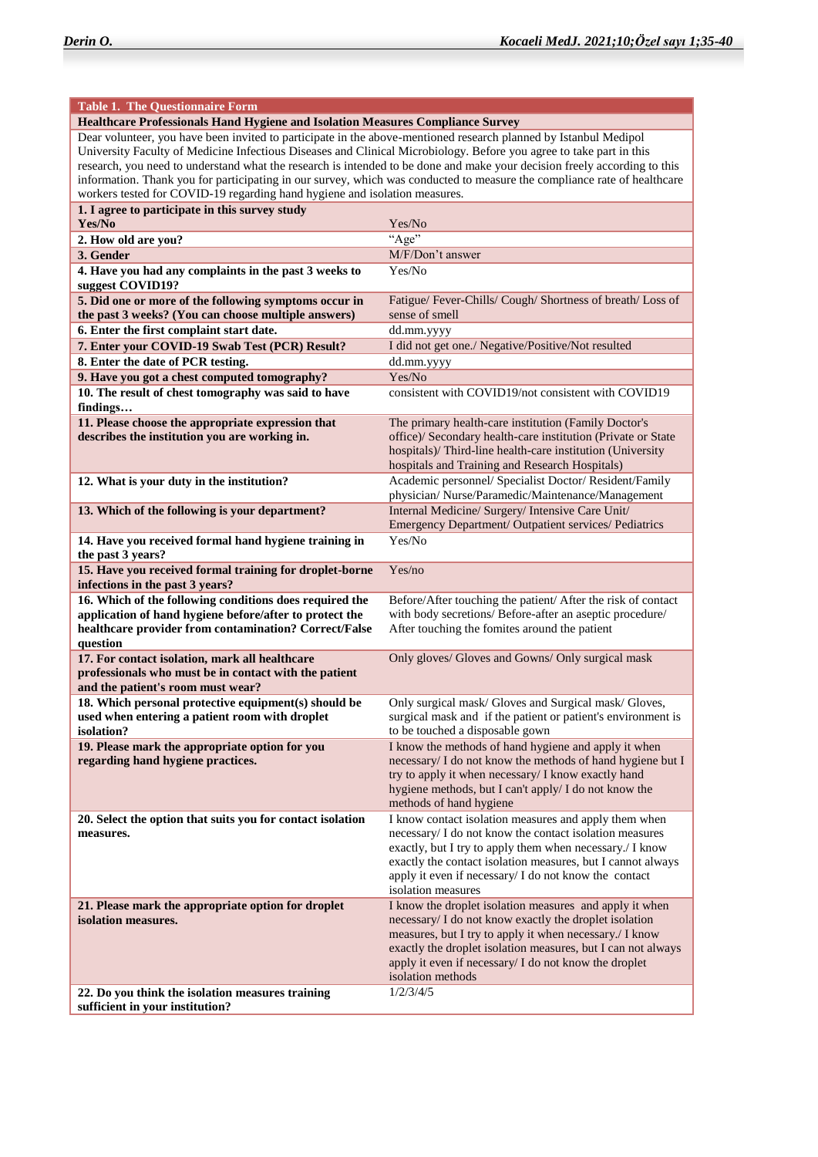| <b>Table 1. The Questionnaire Form</b>                                                                                                                                                                                                                                                                                                                                                                                                                                                                                                                                         |                                                                                                                                                                                                                                                                                                                                         |  |
|--------------------------------------------------------------------------------------------------------------------------------------------------------------------------------------------------------------------------------------------------------------------------------------------------------------------------------------------------------------------------------------------------------------------------------------------------------------------------------------------------------------------------------------------------------------------------------|-----------------------------------------------------------------------------------------------------------------------------------------------------------------------------------------------------------------------------------------------------------------------------------------------------------------------------------------|--|
| Healthcare Professionals Hand Hygiene and Isolation Measures Compliance Survey                                                                                                                                                                                                                                                                                                                                                                                                                                                                                                 |                                                                                                                                                                                                                                                                                                                                         |  |
| Dear volunteer, you have been invited to participate in the above-mentioned research planned by Istanbul Medipol<br>University Faculty of Medicine Infectious Diseases and Clinical Microbiology. Before you agree to take part in this<br>research, you need to understand what the research is intended to be done and make your decision freely according to this<br>information. Thank you for participating in our survey, which was conducted to measure the compliance rate of healthcare<br>workers tested for COVID-19 regarding hand hygiene and isolation measures. |                                                                                                                                                                                                                                                                                                                                         |  |
| 1. I agree to participate in this survey study<br>Yes/No                                                                                                                                                                                                                                                                                                                                                                                                                                                                                                                       | Yes/No                                                                                                                                                                                                                                                                                                                                  |  |
| 2. How old are you?                                                                                                                                                                                                                                                                                                                                                                                                                                                                                                                                                            | "Age"                                                                                                                                                                                                                                                                                                                                   |  |
| 3. Gender                                                                                                                                                                                                                                                                                                                                                                                                                                                                                                                                                                      | M/F/Don't answer                                                                                                                                                                                                                                                                                                                        |  |
| 4. Have you had any complaints in the past 3 weeks to<br>suggest COVID19?                                                                                                                                                                                                                                                                                                                                                                                                                                                                                                      | Yes/No                                                                                                                                                                                                                                                                                                                                  |  |
| 5. Did one or more of the following symptoms occur in<br>the past 3 weeks? (You can choose multiple answers)                                                                                                                                                                                                                                                                                                                                                                                                                                                                   | Fatigue/ Fever-Chills/ Cough/ Shortness of breath/ Loss of<br>sense of smell                                                                                                                                                                                                                                                            |  |
| 6. Enter the first complaint start date.                                                                                                                                                                                                                                                                                                                                                                                                                                                                                                                                       | dd.mm.yyyy                                                                                                                                                                                                                                                                                                                              |  |
| 7. Enter your COVID-19 Swab Test (PCR) Result?                                                                                                                                                                                                                                                                                                                                                                                                                                                                                                                                 | I did not get one./ Negative/Positive/Not resulted                                                                                                                                                                                                                                                                                      |  |
| 8. Enter the date of PCR testing.                                                                                                                                                                                                                                                                                                                                                                                                                                                                                                                                              | dd.mm.yyyy                                                                                                                                                                                                                                                                                                                              |  |
| 9. Have you got a chest computed tomography?                                                                                                                                                                                                                                                                                                                                                                                                                                                                                                                                   | Yes/No                                                                                                                                                                                                                                                                                                                                  |  |
| 10. The result of chest tomography was said to have<br>findings                                                                                                                                                                                                                                                                                                                                                                                                                                                                                                                | consistent with COVID19/not consistent with COVID19                                                                                                                                                                                                                                                                                     |  |
| 11. Please choose the appropriate expression that<br>describes the institution you are working in.                                                                                                                                                                                                                                                                                                                                                                                                                                                                             | The primary health-care institution (Family Doctor's<br>office)/ Secondary health-care institution (Private or State<br>hospitals)/ Third-line health-care institution (University<br>hospitals and Training and Research Hospitals)                                                                                                    |  |
| 12. What is your duty in the institution?                                                                                                                                                                                                                                                                                                                                                                                                                                                                                                                                      | Academic personnel/ Specialist Doctor/ Resident/Family<br>physician/ Nurse/Paramedic/Maintenance/Management                                                                                                                                                                                                                             |  |
| 13. Which of the following is your department?                                                                                                                                                                                                                                                                                                                                                                                                                                                                                                                                 | Internal Medicine/ Surgery/ Intensive Care Unit/<br>Emergency Department/ Outpatient services/ Pediatrics                                                                                                                                                                                                                               |  |
| 14. Have you received formal hand hygiene training in<br>the past 3 years?                                                                                                                                                                                                                                                                                                                                                                                                                                                                                                     | Yes/No                                                                                                                                                                                                                                                                                                                                  |  |
| 15. Have you received formal training for droplet-borne<br>infections in the past 3 years?                                                                                                                                                                                                                                                                                                                                                                                                                                                                                     | Yes/no                                                                                                                                                                                                                                                                                                                                  |  |
| 16. Which of the following conditions does required the<br>application of hand hygiene before/after to protect the<br>healthcare provider from contamination? Correct/False<br>question                                                                                                                                                                                                                                                                                                                                                                                        | Before/After touching the patient/ After the risk of contact<br>with body secretions/ Before-after an aseptic procedure/<br>After touching the fomites around the patient                                                                                                                                                               |  |
| 17. For contact isolation, mark all healthcare<br>professionals who must be in contact with the patient<br>and the patient's room must wear?                                                                                                                                                                                                                                                                                                                                                                                                                                   | Only gloves/ Gloves and Gowns/ Only surgical mask                                                                                                                                                                                                                                                                                       |  |
| 18. Which personal protective equipment(s) should be<br>used when entering a patient room with droplet<br>isolation?                                                                                                                                                                                                                                                                                                                                                                                                                                                           | Only surgical mask/ Gloves and Surgical mask/ Gloves,<br>surgical mask and if the patient or patient's environment is<br>to be touched a disposable gown                                                                                                                                                                                |  |
| 19. Please mark the appropriate option for you<br>regarding hand hygiene practices.                                                                                                                                                                                                                                                                                                                                                                                                                                                                                            | I know the methods of hand hygiene and apply it when<br>necessary/ I do not know the methods of hand hygiene but I<br>try to apply it when necessary/ I know exactly hand<br>hygiene methods, but I can't apply/ I do not know the<br>methods of hand hygiene                                                                           |  |
| 20. Select the option that suits you for contact isolation<br>measures.                                                                                                                                                                                                                                                                                                                                                                                                                                                                                                        | I know contact isolation measures and apply them when<br>necessary/ I do not know the contact isolation measures<br>exactly, but I try to apply them when necessary./ I know<br>exactly the contact isolation measures, but I cannot always<br>apply it even if necessary/ I do not know the contact<br>isolation measures              |  |
| 21. Please mark the appropriate option for droplet<br>isolation measures.<br>22. Do you think the isolation measures training                                                                                                                                                                                                                                                                                                                                                                                                                                                  | I know the droplet isolation measures and apply it when<br>necessary/ I do not know exactly the droplet isolation<br>measures, but I try to apply it when necessary./ I know<br>exactly the droplet isolation measures, but I can not always<br>apply it even if necessary/ I do not know the droplet<br>isolation methods<br>1/2/3/4/5 |  |
| sufficient in your institution?                                                                                                                                                                                                                                                                                                                                                                                                                                                                                                                                                |                                                                                                                                                                                                                                                                                                                                         |  |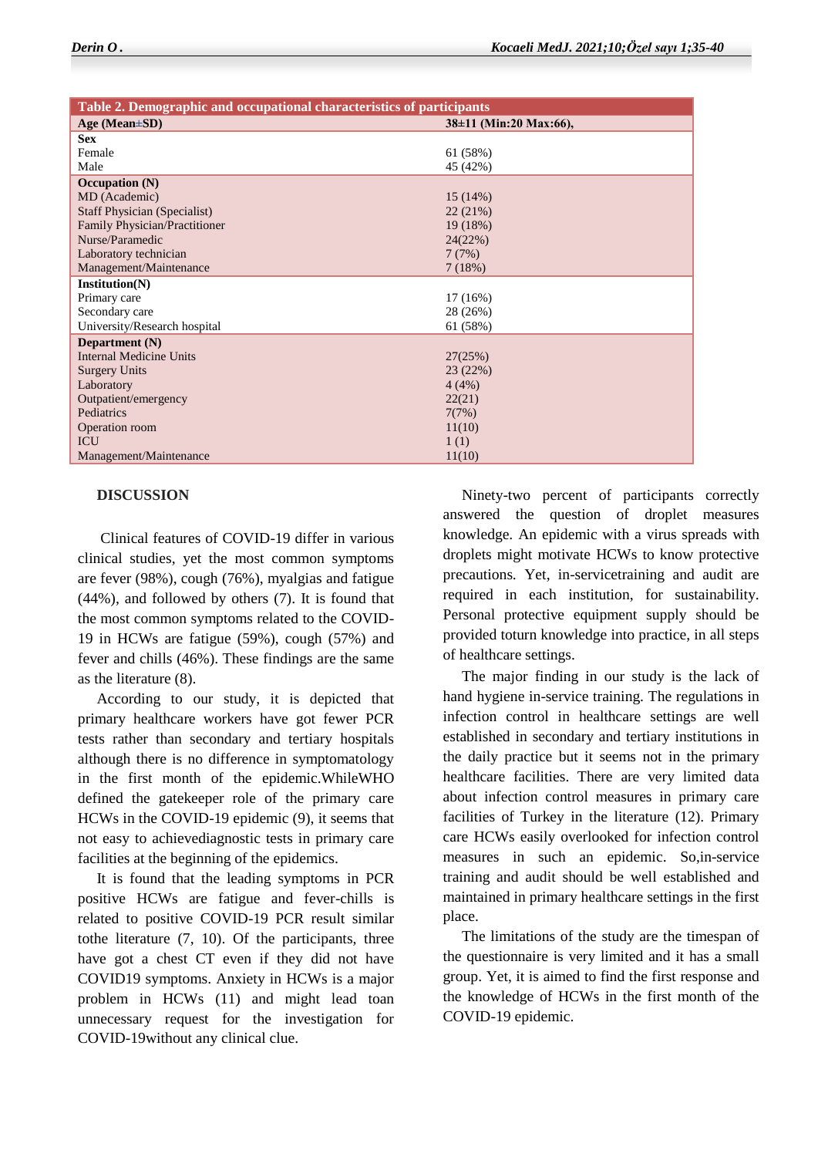| Table 2. Demographic and occupational characteristics of participants |                        |  |
|-----------------------------------------------------------------------|------------------------|--|
| Age (Mean $\pm SD$ )                                                  | 38±11 (Min:20 Max:66), |  |
| <b>Sex</b>                                                            |                        |  |
| Female                                                                | 61 (58%)               |  |
| Male                                                                  | 45 (42%)               |  |
| Occupation $(N)$                                                      |                        |  |
| MD (Academic)                                                         | 15(14%)                |  |
| <b>Staff Physician (Specialist)</b>                                   | 22(21%)                |  |
| Family Physician/Practitioner                                         | 19(18%)                |  |
| Nurse/Paramedic                                                       | 24(22%)                |  |
| Laboratory technician                                                 | 7(7%)                  |  |
| Management/Maintenance                                                | 7(18%)                 |  |
| Institution(N)                                                        |                        |  |
| Primary care                                                          | 17(16%)                |  |
| Secondary care                                                        | 28 (26%)               |  |
| University/Research hospital                                          | 61 (58%)               |  |
| Department (N)                                                        |                        |  |
| <b>Internal Medicine Units</b>                                        | 27(25%)                |  |
| <b>Surgery Units</b>                                                  | 23(22%)                |  |
| Laboratory                                                            | 4(4%)                  |  |
| Outpatient/emergency                                                  | 22(21)                 |  |
| Pediatrics                                                            | 7(7%)                  |  |
| Operation room                                                        | 11(10)                 |  |
| <b>ICU</b>                                                            | 1(1)                   |  |
| Management/Maintenance                                                | 11(10)                 |  |

#### **DISCUSSION**

 Clinical features of COVID-19 differ in various clinical studies, yet the most common symptoms are fever (98%), cough (76%), myalgias and fatigue (44%), and followed by others (7). It is found that the most common symptoms related to the COVID-19 in HCWs are fatigue (59%), cough (57%) and fever and chills (46%). These findings are the same as the literature (8).

 According to our study, it is depicted that primary healthcare workers have got fewer PCR tests rather than secondary and tertiary hospitals although there is no difference in symptomatology in the first month of the epidemic.WhileWHO defined the gatekeeper role of the primary care HCWs in the COVID-19 epidemic (9), it seems that not easy to achievediagnostic tests in primary care facilities at the beginning of the epidemics.

 It is found that the leading symptoms in PCR positive HCWs are fatigue and fever-chills is related to positive COVID-19 PCR result similar tothe literature (7, 10). Of the participants, three have got a chest CT even if they did not have COVID19 symptoms. Anxiety in HCWs is a major problem in HCWs (11) and might lead toan unnecessary request for the investigation for COVID-19without any clinical clue.

 Ninety-two percent of participants correctly answered the question of droplet measures knowledge. An epidemic with a virus spreads with droplets might motivate HCWs to know protective precautions. Yet, in-servicetraining and audit are required in each institution, for sustainability. Personal protective equipment supply should be provided toturn knowledge into practice, in all steps of healthcare settings.

 The major finding in our study is the lack of hand hygiene in-service training. The regulations in infection control in healthcare settings are well established in secondary and tertiary institutions in the daily practice but it seems not in the primary healthcare facilities. There are very limited data about infection control measures in primary care facilities of Turkey in the literature (12). Primary care HCWs easily overlooked for infection control measures in such an epidemic. So,in-service training and audit should be well established and maintained in primary healthcare settings in the first place.

 The limitations of the study are the timespan of the questionnaire is very limited and it has a small group. Yet, it is aimed to find the first response and the knowledge of HCWs in the first month of the COVID-19 epidemic.